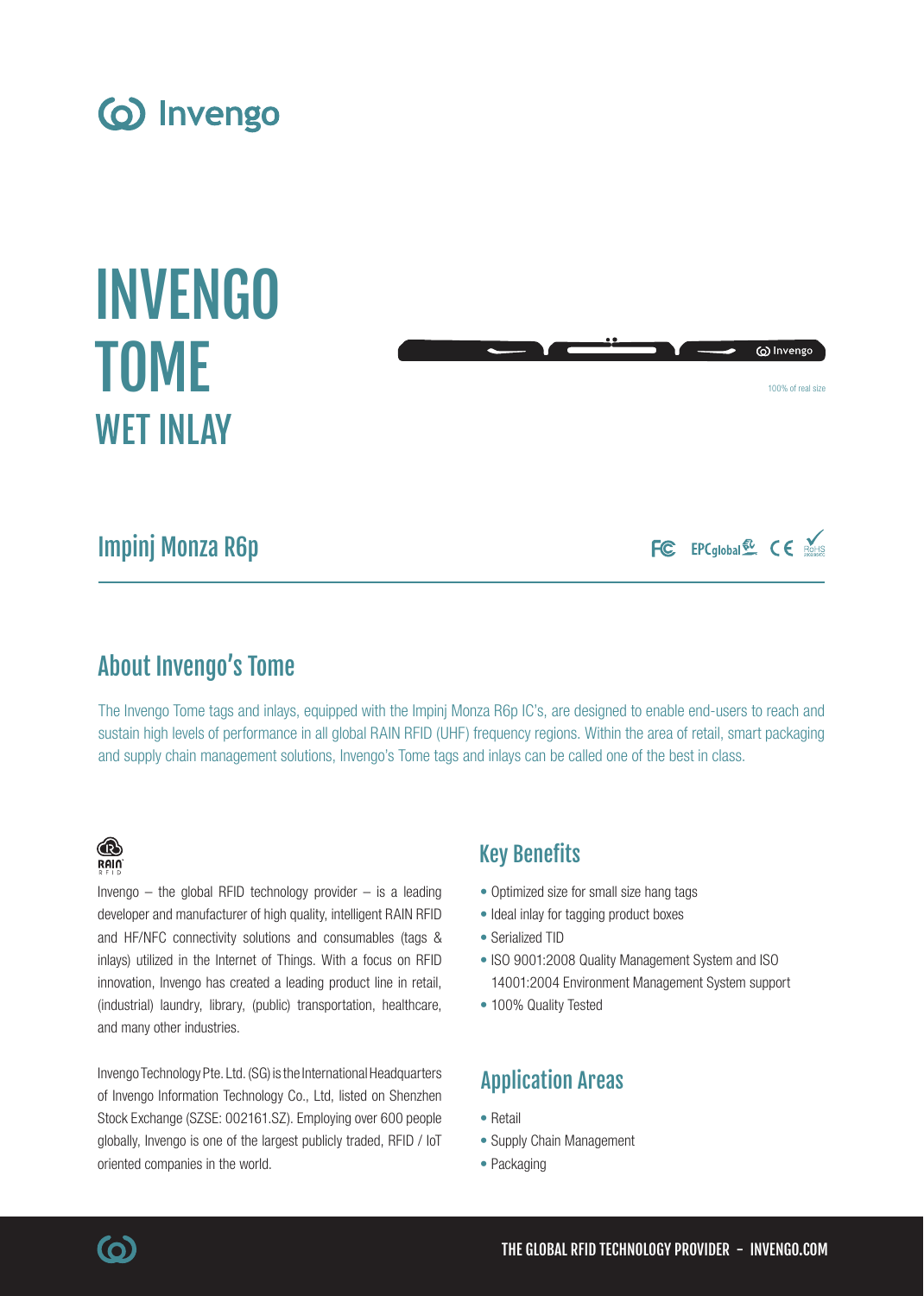





# Impinj Monza R6p

FC EPCglobal & CE ROHIS

# About Invengo's Tome

The Invengo Tome tags and inlays, equipped with the Impinj Monza R6p IC's, are designed to enable end-users to reach and sustain high levels of performance in all global RAIN RFID (UHF) frequency regions. Within the area of retail, smart packaging and supply chain management solutions, Invengo's Tome tags and inlays can be called one of the best in class.

## ® RAIN

Invengo  $-$  the global RFID technology provider  $-$  is a leading developer and manufacturer of high quality, intelligent RAIN RFID and HF/NFC connectivity solutions and consumables (tags & inlays) utilized in the Internet of Things. With a focus on RFID innovation, Invengo has created a leading product line in retail, (industrial) laundry, library, (public) transportation, healthcare, and many other industries.

Invengo Technology Pte. Ltd. (SG) is the International Headquarters of Invengo Information Technology Co., Ltd, listed on Shenzhen Stock Exchange (SZSE: 002161.SZ). Employing over 600 people globally, Invengo is one of the largest publicly traded, RFID / IoT oriented companies in the world.

## Key Benefits

- Optimized size for small size hang tags
- Ideal inlay for tagging product boxes
- Serialized TID
- ISO 9001:2008 Quality Management System and ISO 14001:2004 Environment Management System support
- 100% Quality Tested

## Application Areas

- Retail
- Supply Chain Management
- Packaging